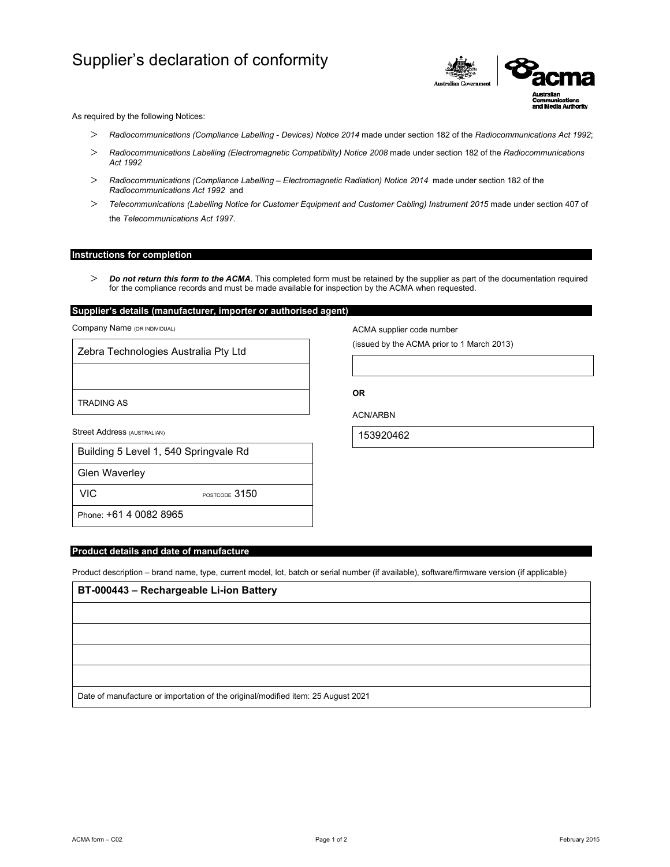# Supplier's declaration of conformity



As required by the following Notices:

- *Radiocommunications (Compliance Labelling Devices) Notice 2014* made under section 182 of the *Radiocommunications Act 1992*;
- *Radiocommunications Labelling (Electromagnetic Compatibility) Notice 2008* made under section 182 of the *Radiocommunications Act 1992*
- *Radiocommunications (Compliance Labelling Electromagnetic Radiation) Notice 2014* made under section 182 of the *Radiocommunications Act 1992* and
- *Telecommunications (Labelling Notice for Customer Equipment and Customer Cabling) Instrument 2015* made under section 407 of the *Telecommunications Act 1997*.

## **Instructions for completion**

 *Do not return this form to the ACMA*. This completed form must be retained by the supplier as part of the documentation required for the compliance records and must be made available for inspection by the ACMA when requested.

# **Supplier's details (manufacturer, importer or authorised agent)**

Company Name (OR INDIVIDUAL)

Zebra Technologies Australia Pty Ltd

TRADING AS

Street Address (AUSTRALIAN)

| Building 5 Level 1, 540 Springvale Rd |
|---------------------------------------|
|                                       |

Glen Waverley

VIC POSTCODE 3150

Phone: +61 4 0082 8965

## **Product details and date of manufacture**

Product description – brand name, type, current model, lot, batch or serial number (if available), software/firmware version (if applicable)

| BT-000443 - Rechargeable Li-ion Battery                                          |  |  |  |  |
|----------------------------------------------------------------------------------|--|--|--|--|
|                                                                                  |  |  |  |  |
|                                                                                  |  |  |  |  |
|                                                                                  |  |  |  |  |
|                                                                                  |  |  |  |  |
| Date of manufacture or importation of the original/modified item: 25 August 2021 |  |  |  |  |

ACMA form – C02 Page 1 of 2 February 2015

ACMA supplier code number

(issued by the ACMA prior to 1 March 2013)

**OR** 

ACN/ARBN

153920462